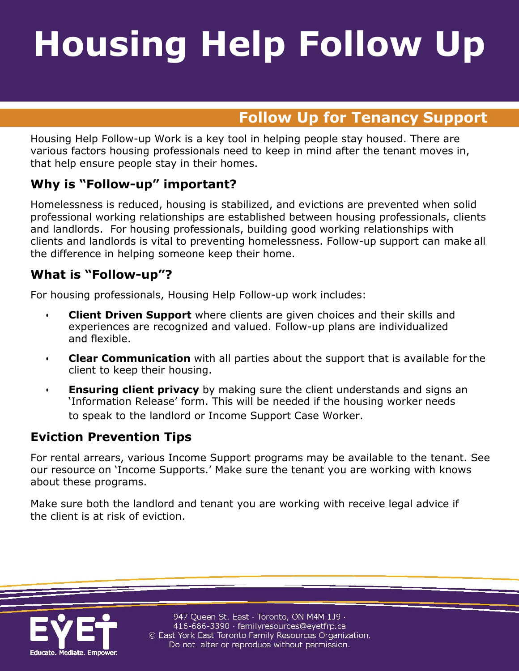# **Housing Help Follow Up**

### **Follow Up for Tenancy Support**

Housing Help Follow-up Work is a key tool in helping people stay housed. There are various factors housing professionals need to keep in mind after the tenant moves in, that help ensure people stay in their homes.

#### **Why is "Follow-up" important?**

Homelessness is reduced, housing is stabilized, and evictions are prevented when solid professional working relationships are established between housing professionals, clients and landlords. For housing professionals, building good working relationships with clients and landlords is vital to preventing homelessness. Follow-up support can make all the difference in helping someone keep their home.

#### **What is "Follow-up"?**

For housing professionals, Housing Help Follow-up work includes:

- **Client Driven Support** where clients are given choices and their skills and experiences are recognized and valued. Follow-up plans are individualized and flexible.
- **Clear Communication** with all parties about the support that is available for the client to keep their housing.
- **Ensuring client privacy** by making sure the client understands and signs an 'Information Release' form. This will be needed if the housing worker needs to speak to the landlord or Income Support Case Worker.

#### **Eviction Prevention Tips**

For rental arrears, various Income Support programs may be available to the tenant. See our resource on 'Income Supports.' Make sure the tenant you are working with knows about these programs.

Make sure both the landlord and tenant you are working with receive legal advice if the client is at risk of eviction.



947 Queen St. East · Toronto, ON M4M 1J9 · 416-686-3390 · familyresources@eyetfrp.ca © East York East Toronto Family Resources Organization. Do not alter or reproduce without permission.